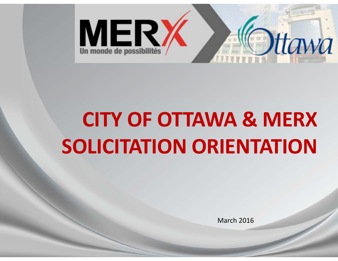

## **CITY OF OTTAWA & MERX SOLICITATION ORIENTATION**

March 2016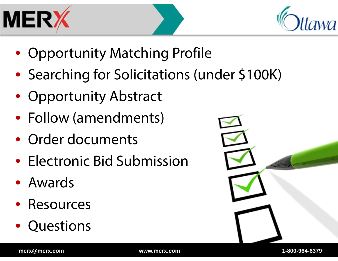



- Opportunity Matching Profile
- Searching for Solicitations (under \$100K)
- $\bullet$ Opportunity Abstract
- Follow (amendments)
- Order documents
- Electronic Bid Submission
- Awards
- $\bullet$ Resources
- $\bullet$ Questions

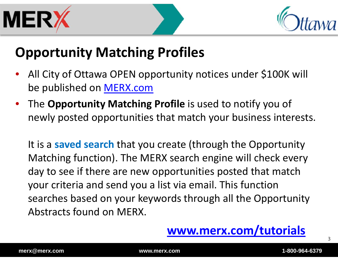



## **Opportunity Matching Profiles**

- • All City of Ottawa OPEN opportunity notices under \$100K will be published on <u>MERX.com</u>
- • The **Opportunity Matching Profile** is used to notify you of newly posted opportunities that match your business interests.

It is a **saved search** that you create (through the Opportunity Matching function). The MERX search engine will check every day to see if there are new opportunities posted that match your criteria and send you a list via email. This function searches based on your keywords through all the Opportunity Abstracts found on MERX.



3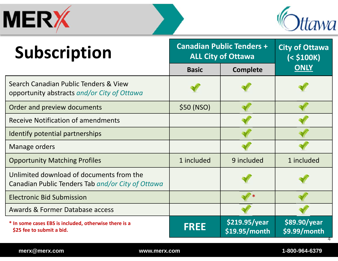



| Subscription                                                                                  | <b>Canadian Public Tenders +</b><br><b>ALL City of Ottawa</b> |                                | <b>City of Ottawa</b><br>(< \$100K) |
|-----------------------------------------------------------------------------------------------|---------------------------------------------------------------|--------------------------------|-------------------------------------|
|                                                                                               | <b>Basic</b>                                                  | <b>Complete</b>                | <b>ONLY</b>                         |
| Search Canadian Public Tenders & View<br>opportunity abstracts and/or City of Ottawa          |                                                               |                                |                                     |
| Order and preview documents                                                                   | \$50 (NSO)                                                    |                                |                                     |
| <b>Receive Notification of amendments</b>                                                     |                                                               |                                |                                     |
| Identify potential partnerships                                                               |                                                               |                                |                                     |
| Manage orders                                                                                 |                                                               |                                |                                     |
| <b>Opportunity Matching Profiles</b>                                                          | 1 included                                                    | 9 included                     | 1 included                          |
| Unlimited download of documents from the<br>Canadian Public Tenders Tab and/or City of Ottawa |                                                               |                                |                                     |
| <b>Electronic Bid Submission</b>                                                              |                                                               |                                |                                     |
| Awards & Former Database access                                                               |                                                               |                                |                                     |
| * In some cases EBS is included, otherwise there is a<br>\$25 fee to submit a bid.            | <b>FREE</b>                                                   | \$219.95/year<br>\$19.95/month | \$89.90/year<br>\$9.99/month        |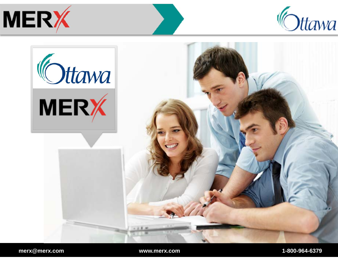



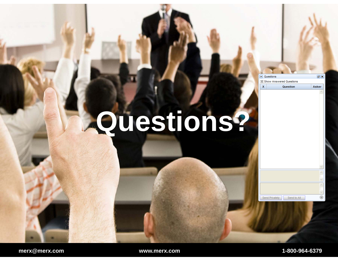## **Questions?**

Send to All

 $\Box$ 

 $\land$ 

 $\bullet$ 

Asker

Questions

Send Privately

 $\pmb{\mathsf{X}}$ 

⊠ Show Answered Questions

Question